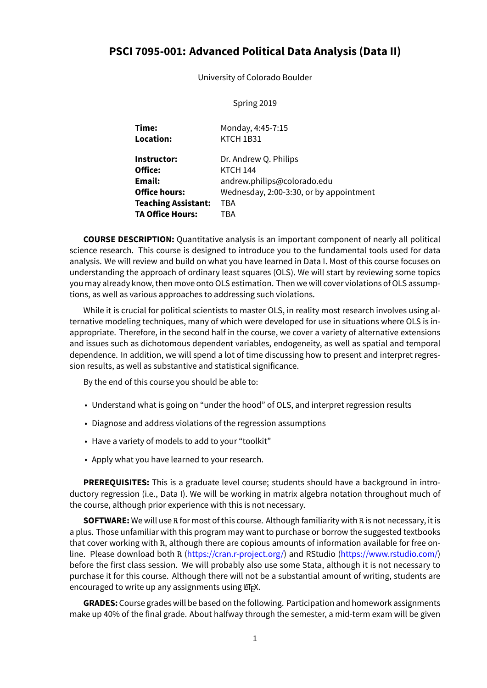# **PSCI 7095-001: Advanced Political Data Analysis (Data II)**

University of Colorado Boulder

#### Spring 2019

| Time:<br>Location:         | Monday, 4:45-7:15<br>KTCH 1B31          |
|----------------------------|-----------------------------------------|
| Instructor:                | Dr. Andrew Q. Philips                   |
| Office:                    | <b>KTCH 144</b>                         |
| Email:                     | andrew.philips@colorado.edu             |
| <b>Office hours:</b>       | Wednesday, 2:00-3:30, or by appointment |
| <b>Teaching Assistant:</b> | TBA                                     |
| <b>TA Office Hours:</b>    | <b>TBA</b>                              |

**COURSE DESCRIPTION:** Quantitative analysis is an important component of nearly all political science research. This course is designed to introduce you to the fundamental tools used for data analysis. We will review and build on what you have learned in Data I. Most of this course focuses on understanding the approach of ordinary least squares (OLS). We will start by reviewing some topics you may already know, then move onto OLS estimation. Then we will cover violations of OLS assumptions, as well as various approaches to addressing such violations.

While it is crucial for political scientists to master OLS, in reality most research involves using alternative modeling techniques, many of which were developed for use in situations where OLS is inappropriate. Therefore, in the second half in the course, we cover a variety of alternative extensions and issues such as dichotomous dependent variables, endogeneity, as well as spatial and temporal dependence. In addition, we will spend a lot of time discussing how to present and interpret regression results, as well as substantive and statistical significance.

By the end of this course you should be able to:

- Understand what is going on "under the hood" of OLS, and interpret regression results
- Diagnose and address violations of the regression assumptions
- Have a variety of models to add to your "toolkit"
- Apply what you have learned to your research.

**PREREQUISITES:** This is a graduate level course; students should have a background in introductory regression (i.e., Data I). We will be working in matrix algebra notation throughout much of the course, although prior experience with this is not necessary.

**SOFTWARE:** We will use R for most of this course. Although familiarity with R is not necessary, it is a plus. Those unfamiliar with this program may want to purchase or borrow the suggested textbooks that cover working with R, although there are copious amounts of information available for free online. Please download both R (<https://cran.r-project.org/>) and RStudio(<https://www.rstudio.com/>) before the first class session. We will probably also use some Stata, although it is not necessary to purchase it for this course. Although there will not be a substantial amount of writing, students are encouraged to write up any assignments using  $E/FX$ .

**GRADES:** Course grades will be based on the following. Participation and homework assignments make up 40% of the final grade. About halfway through the semester, a mid-term exam will be given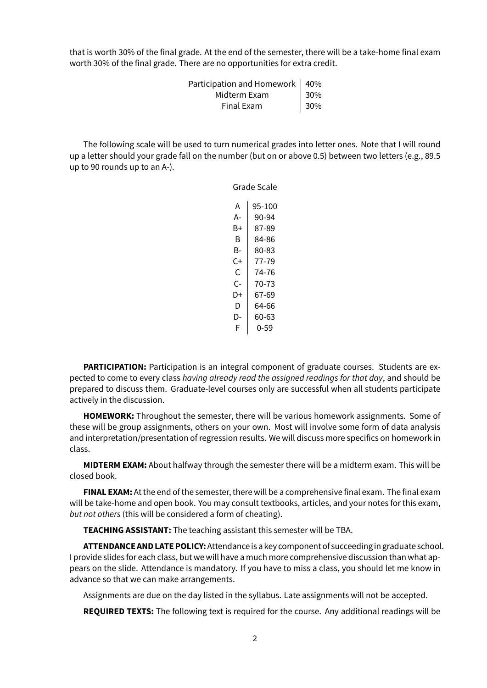that is worth 30% of the final grade. At the end of the semester, there will be a take-home final exam worth 30% of the final grade. There are no opportunities for extra credit.

| Participation and Homework   40% |         |
|----------------------------------|---------|
| Midterm Exam                     | $ 30\%$ |
| Final Exam                       | 30%     |

The following scale will be used to turn numerical grades into letter ones. Note that I will round up a letter should your grade fall on the number (but on or above 0.5) between two letters (e.g., 89.5 up to 90 rounds up to an A-).

> Grade Scale  $A$  | 95-100  $A - 90-94$  $B+ | 87-89$  $B$  84-86  $B - 80 - 83$  $C+$  77-79  $C$  | 74-76  $C-$  70-73  $D+$  67-69  $D$  64-66  $D - 60 - 63$  $F | 0-59$

**PARTICIPATION:** Participation is an integral component of graduate courses. Students are expected to come to every class *having already read the assigned readings for that day*, and should be prepared to discuss them. Graduate-level courses only are successful when all students participate actively in the discussion.

**HOMEWORK:** Throughout the semester, there will be various homework assignments. Some of these will be group assignments, others on your own. Most will involve some form of data analysis and interpretation/presentation of regression results. We will discuss more specifics on homework in class.

**MIDTERM EXAM:** About halfway through the semester there will be a midterm exam. This will be closed book.

**FINAL EXAM:** At the end of the semester, there will be a comprehensive final exam. The final exam will be take-home and open book. You may consult textbooks, articles, and your notes for this exam, *but not others* (this will be considered a form of cheating).

**TEACHING ASSISTANT:** The teaching assistant this semester will be TBA.

**ATTENDANCE AND LATE POLICY:**Attendance is a key component of succeeding in graduate school. I provide slides for each class, but we will have a much more comprehensive discussion than what appears on the slide. Attendance is mandatory. If you have to miss a class, you should let me know in advance so that we can make arrangements.

Assignments are due on the day listed in the syllabus. Late assignments will not be accepted.

**REQUIRED TEXTS:** The following text is required for the course. Any additional readings will be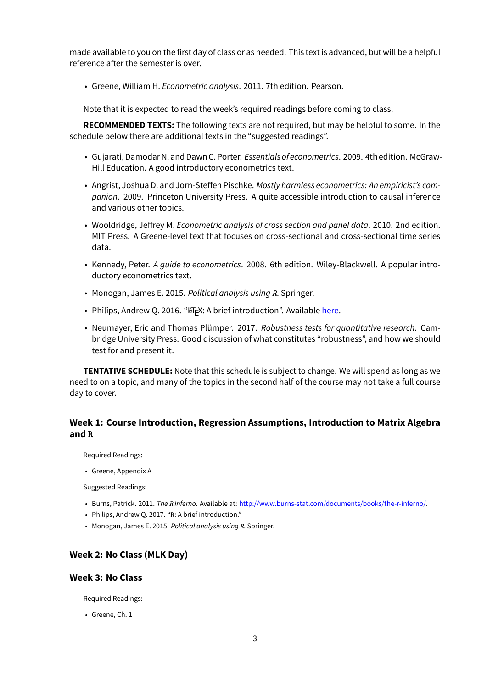made available to you on the first day of class or as needed. This text is advanced, but will be a helpful reference after the semester is over.

• Greene, William H. *Econometric analysis*. 2011. 7th edition. Pearson.

Note that it is expected to read the week's required readings before coming to class.

**RECOMMENDED TEXTS:** The following texts are not required, but may be helpful to some. In the schedule below there are additional texts in the "suggested readings".

- Gujarati, Damodar N. and Dawn C. Porter. *Essentials of econometrics*. 2009. 4th edition. McGraw-Hill Education. A good introductory econometrics text.
- Angrist, Joshua D. and Jorn-Steffen Pischke. *Mostly harmless econometrics: An empiricist's companion*. 2009. Princeton University Press. A quite accessible introduction to causal inference and various other topics.
- Wooldridge, Jeffrey M. *Econometric analysis of cross section and panel data*. 2010. 2nd edition. MIT Press. A Greene-level text that focuses on cross-sectional and cross-sectional time series data.
- Kennedy, Peter. *A guide to econometrics*. 2008. 6th edition. Wiley-Blackwell. A popular introductory econometrics text.
- Monogan, James E. 2015. *Political analysis using R*. Springer.
- Philips, Andrew Q. 2016. "ETEX: A brief introduction". Available [here](http://www.andyphilips.com/downloads/introduction%20to%20latex%20Philips.pdf).
- Neumayer, Eric and Thomas Plümper. 2017. *Robustness tests for quantitative research*. Cambridge University Press. Good discussion of what constitutes "robustness", and how we should test for and present it.

**TENTATIVE SCHEDULE:** Note that this schedule is subject to change. We will spend as long as we need to on a topic, and many of the topics in the second half of the course may not take a full course day to cover.

# **Week 1: Course Introduction, Regression Assumptions, Introduction to Matrix Algebra and R**

Required Readings:

• Greene, Appendix A

Suggested Readings:

- Burns, Patrick. 2011. *The R Inferno*. Available at: [http://www.burns-stat.com/documents/books/the-r-inferno/.](http://www.burns-stat.com/documents/books/the-r-inferno/)
- Philips, Andrew Q. 2017. "R: A brief introduction."
- Monogan, James E. 2015. *Political analysis using R*. Springer.

# **Week 2: No Class (MLK Day)**

### **Week 3: No Class**

Required Readings:

• Greene, Ch. 1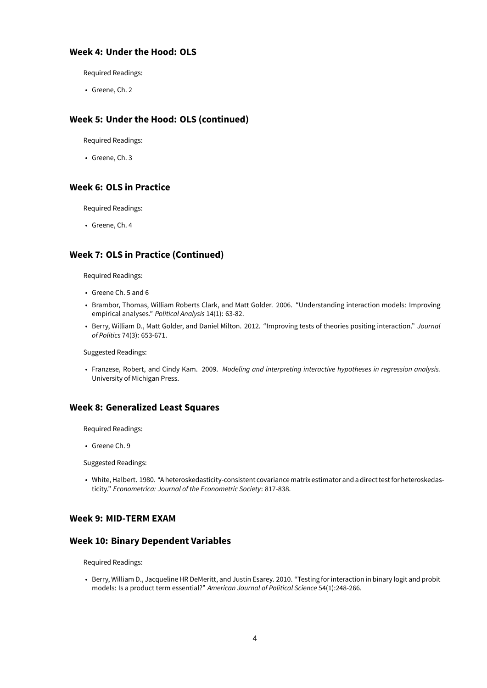## **Week 4: Under the Hood: OLS**

Required Readings:

• Greene, Ch. 2

# **Week 5: Under the Hood: OLS (continued)**

Required Readings:

• Greene, Ch. 3

# **Week 6: OLS in Practice**

Required Readings:

• Greene, Ch. 4

# **Week 7: OLS in Practice (Continued)**

Required Readings:

- Greene Ch. 5 and 6
- Brambor, Thomas, William Roberts Clark, and Matt Golder. 2006. "Understanding interaction models: Improving empirical analyses." *Political Analysis* 14(1): 63-82.
- Berry, William D., Matt Golder, and Daniel Milton. 2012. "Improving tests of theories positing interaction." *Journal of Politics* 74(3): 653-671.

#### Suggested Readings:

• Franzese, Robert, and Cindy Kam. 2009. *Modeling and interpreting interactive hypotheses in regression analysis.* University of Michigan Press.

### **Week 8: Generalized Least Squares**

Required Readings:

• Greene Ch. 9

Suggested Readings:

• White, Halbert. 1980. "A heteroskedasticity-consistent covariancematrix estimator and a direct testfor heteroskedasticity." *Econometrica: Journal of the Econometric Society*: 817-838.

# **Week 9: MID-TERM EXAM**

# **Week 10: Binary Dependent Variables**

Required Readings:

• Berry, William D., Jacqueline HR DeMeritt, and Justin Esarey. 2010. "Testing for interaction in binary logit and probit models: Is a product term essential?" *American Journal of Political Science* 54(1):248-266.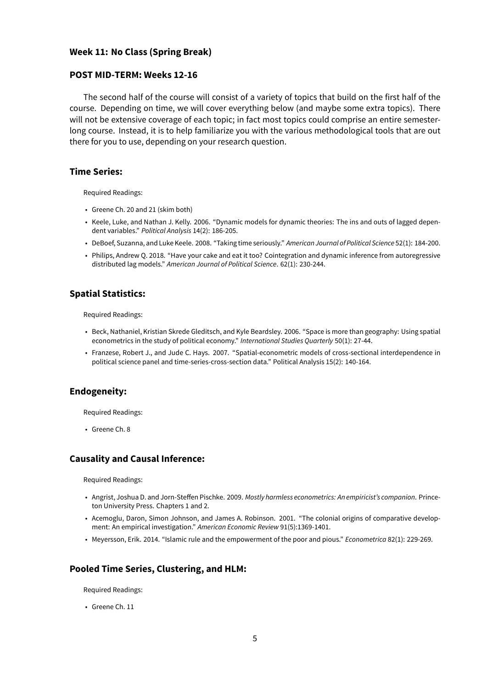#### **Week 11: No Class (Spring Break)**

#### **POST MID-TERM: Weeks 12-16**

The second half of the course will consist of a variety of topics that build on the first half of the course. Depending on time, we will cover everything below (and maybe some extra topics). There will not be extensive coverage of each topic; in fact most topics could comprise an entire semesterlong course. Instead, it is to help familiarize you with the various methodological tools that are out there for you to use, depending on your research question.

# **Time Series:**

Required Readings:

- Greene Ch. 20 and 21 (skim both)
- Keele, Luke, and Nathan J. Kelly. 2006. "Dynamic models for dynamic theories: The ins and outs of lagged dependent variables." *Political Analysis* 14(2): 186-205.
- DeBoef, Suzanna, and Luke Keele. 2008. "Taking time seriously." *American Journal of Political Science* 52(1): 184-200.
- Philips, Andrew Q. 2018. "Have your cake and eat it too? Cointegration and dynamic inference from autoregressive distributed lag models." *American Journal of Political Science*. 62(1): 230-244.

# **Spatial Statistics:**

Required Readings:

- Beck, Nathaniel, Kristian Skrede Gleditsch, and Kyle Beardsley. 2006. "Space is more than geography: Using spatial econometrics in the study of political economy." *International Studies Quarterly* 50(1): 27-44.
- Franzese, Robert J., and Jude C. Hays. 2007. "Spatial-econometric models of cross-sectional interdependence in political science panel and time-series-cross-section data." Political Analysis 15(2): 140-164.

### **Endogeneity:**

Required Readings:

• Greene Ch. 8

#### **Causality and Causal Inference:**

Required Readings:

- Angrist, Joshua D. and Jorn-Steffen Pischke. 2009. *Mostly harmless econometrics: An empiricist's companion*. Princeton University Press. Chapters 1 and 2.
- Acemoglu, Daron, Simon Johnson, and James A. Robinson. 2001. "The colonial origins of comparative development: An empirical investigation." *American Economic Review* 91(5):1369-1401.
- Meyersson, Erik. 2014. "Islamic rule and the empowerment of the poor and pious." *Econometrica* 82(1): 229-269.

### **Pooled Time Series, Clustering, and HLM:**

Required Readings:

• Greene Ch. 11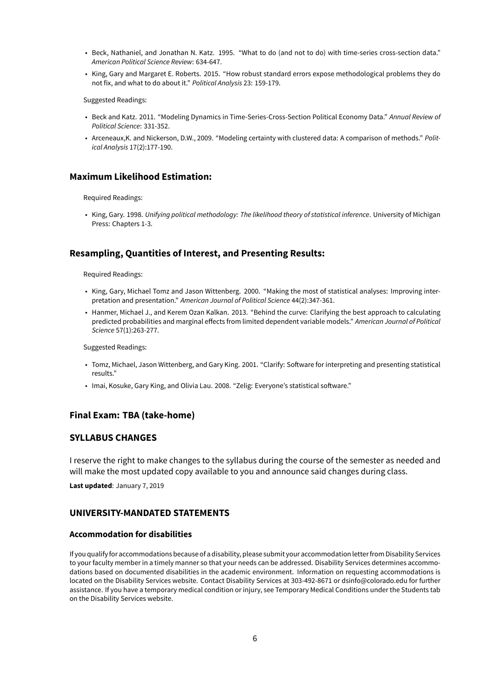- Beck, Nathaniel, and Jonathan N. Katz. 1995. "What to do (and not to do) with time-series cross-section data." *American Political Science Review*: 634-647.
- King, Gary and Margaret E. Roberts. 2015. "How robust standard errors expose methodological problems they do not fix, and what to do about it." *Political Analysis* 23: 159-179.

Suggested Readings:

- Beck and Katz. 2011. "Modeling Dynamics in Time-Series-Cross-Section Political Economy Data." *Annual Review of Political Science*: 331-352.
- Arceneaux,K. and Nickerson, D.W., 2009. "Modeling certainty with clustered data: A comparison of methods." *Political Analysis* 17(2):177-190.

### **Maximum Likelihood Estimation:**

Required Readings:

• King, Gary. 1998. *Unifying political methodology: The likelihood theory of statistical inference*. University of Michigan Press: Chapters 1-3.

# **Resampling, Quantities of Interest, and Presenting Results:**

Required Readings:

- King, Gary, Michael Tomz and Jason Wittenberg. 2000. "Making the most of statistical analyses: Improving interpretation and presentation." *American Journal of Political Science* 44(2):347-361.
- Hanmer, Michael J., and Kerem Ozan Kalkan. 2013. "Behind the curve: Clarifying the best approach to calculating predicted probabilities and marginal effects from limited dependent variable models." *American Journal of Political Science* 57(1):263-277.

Suggested Readings:

- Tomz, Michael, Jason Wittenberg, and Gary King. 2001. "Clarify: Software for interpreting and presenting statistical results."
- Imai, Kosuke, Gary King, and Olivia Lau. 2008. "Zelig: Everyone's statistical software."

### **Final Exam: TBA (take-home)**

#### **SYLLABUS CHANGES**

I reserve the right to make changes to the syllabus during the course of the semester as needed and will make the most updated copy available to you and announce said changes during class.

**Last updated**: January 7, 2019

### **UNIVERSITY-MANDATED STATEMENTS**

#### **Accommodation for disabilities**

If you qualifyfor accommodations because of a disability, please submit your accommodation letterfrom Disability Services to your faculty member in a timely manner so that your needs can be addressed. Disability Services determines accommodations based on documented disabilities in the academic environment. Information on requesting accommodations is located on the Disability Services website. Contact Disability Services at 303-492-8671 or dsinfo@colorado.edu for further assistance. If you have a temporary medical condition or injury, see Temporary Medical Conditions under the Students tab on the Disability Services website.